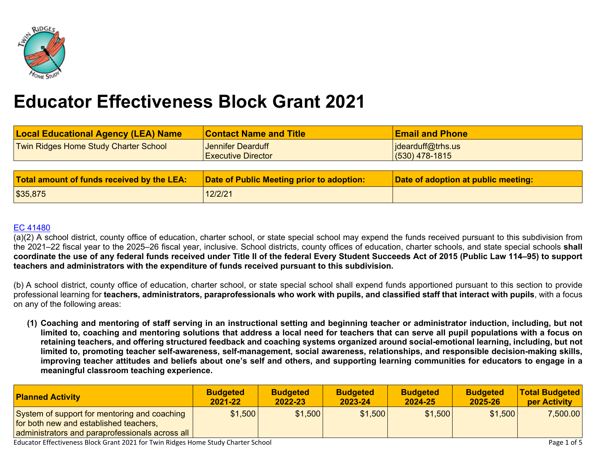

# **Educator Effectiveness Block Grant 2021**

| <b>Local Educational Agency (LEA) Name</b>   | <b>Contact Name and Title</b>             | <b>Email and Phone</b>                |
|----------------------------------------------|-------------------------------------------|---------------------------------------|
| <b>Twin Ridges Home Study Charter School</b> | Jennifer Dearduff<br>Executive Director   | idearduff@trhs.us<br>$(530)$ 478-1815 |
|                                              |                                           |                                       |
| Total amount of funds received by the LEA:   | Date of Public Meeting prior to adoption: | Date of adoption at public meeting:   |

#### EC [41480](https://leginfo.legislature.ca.gov/faces/codes_displaySection.xhtml?sectionNum=41480.&lawCode=EDC)

(a)(2) A school district, county office of education, charter school, or state special school may expend the funds received pursuant to this subdivision from the 2021–22 fiscal year to the 2025–26 fiscal year, inclusive. School districts, county offices of education, charter schools, and state special schools **shall** coordinate the use of any federal funds received under Title II of the federal Every Student Succeeds Act of 2015 (Public Law 114–95) to support **teachers and administrators with the expenditure of funds received pursuant to this subdivision.**

(b) A school district, county office of education, charter school, or state special school shall expend funds apportioned pursuant to this section to provide professional learning for teachers, administrators, paraprofessionals who work with pupils, and classified staff that interact with pupils, with a focus on any of the following areas:

(1) Coaching and mentoring of staff serving in an instructional setting and beginning teacher or administrator induction, including, but not limited to, coaching and mentoring solutions that address a local need for teachers that can serve all pupil populations with a focus on retaining teachers, and offering structured feedback and coaching systems organized around social-emotional learning, including, but not limited to, promoting teacher self-awareness, self-management, social awareness, relationships, and responsible decision-making skills, improving teacher attitudes and beliefs about one's self and others, and supporting learning communities for educators to engage in a **meaningful classroom teaching experience.**

| <b>Planned Activity</b>                                                                                                                   | <b>Budgeted</b> | <b>Budgeted</b> | <b>Budgeted</b> | <b>Budgeted</b> | <b>Budgeted</b> | <b>Total Budgeted</b> |
|-------------------------------------------------------------------------------------------------------------------------------------------|-----------------|-----------------|-----------------|-----------------|-----------------|-----------------------|
|                                                                                                                                           | 2021-22         | 2022-23         | 2023-24         | 2024-25         | 2025-26         | per Activity          |
| System of support for mentoring and coaching<br>for both new and established teachers,<br>administrators and paraprofessionals across all | \$1,500         | \$1,500         | \$1,500         | \$1,500         | \$1,500         | 7,500.00              |

Educator Effectiveness Block Grant 2021 for Twin Ridges Home Study Charter School Page 1 of 5

**\$35,875** 12/2/21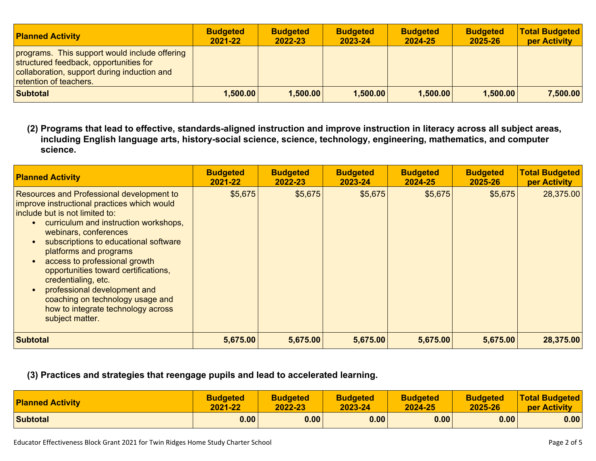| <b>Planned Activity</b>                                                                                                                                          | <b>Budgeted</b><br>2021-22 | <b>Budgeted</b><br>2022-23 | <b>Budgeted</b><br>2023-24 | <b>Budgeted</b><br>2024-25 | <b>Budgeted</b><br>2025-26 | <b>Total Budgeted</b><br>per Activity |
|------------------------------------------------------------------------------------------------------------------------------------------------------------------|----------------------------|----------------------------|----------------------------|----------------------------|----------------------------|---------------------------------------|
| programs. This support would include offering<br>structured feedback, opportunities for<br>collaboration, support during induction and<br>retention of teachers. |                            |                            |                            |                            |                            |                                       |
| <b>Subtotal</b>                                                                                                                                                  | 1,500.00                   | 1,500.00                   | 1,500.00                   | 1,500.00                   | 1,500.00                   | 7,500.00                              |

(2) Programs that lead to effective, standards-aligned instruction and improve instruction in literacy across all subject areas, **including English language arts, history-social science, science, technology, engineering, mathematics, and computer science.**

| <b>Planned Activity</b>                                                                                                                                                                                                                                                                                                                                                                                                                                                                                   | <b>Budgeted</b><br>2021-22 | <b>Budgeted</b><br>2022-23 | <b>Budgeted</b><br>2023-24 | <b>Budgeted</b><br>2024-25 | <b>Budgeted</b><br>2025-26 | <b>Total Budgeted</b><br>per Activity |
|-----------------------------------------------------------------------------------------------------------------------------------------------------------------------------------------------------------------------------------------------------------------------------------------------------------------------------------------------------------------------------------------------------------------------------------------------------------------------------------------------------------|----------------------------|----------------------------|----------------------------|----------------------------|----------------------------|---------------------------------------|
| Resources and Professional development to<br>improve instructional practices which would<br>include but is not limited to:<br>curriculum and instruction workshops,<br>webinars, conferences<br>subscriptions to educational software<br>$\bullet$<br>platforms and programs<br>access to professional growth<br>opportunities toward certifications,<br>credentialing, etc.<br>professional development and<br>coaching on technology usage and<br>how to integrate technology across<br>subject matter. | \$5,675                    | \$5,675                    | \$5,675                    | \$5,675                    | \$5,675                    | 28,375.00                             |
| <b>Subtotal</b>                                                                                                                                                                                                                                                                                                                                                                                                                                                                                           | 5,675.00                   | 5,675.00                   | 5,675.00                   | 5,675.00                   | 5,675.00                   | 28,375.00                             |

## **(3) Practices and strategies that reengage pupils and lead to accelerated learning.**

| <b>Planned Activity</b> | <b>Budgeted</b> | <b>Budgeted</b> | <b>Budgeted</b> | <b>Budgeted</b> | <b>Budgeted</b> | <b>Total Budgeted</b> |
|-------------------------|-----------------|-----------------|-----------------|-----------------|-----------------|-----------------------|
|                         | 2021-22         | 2022-23         | 2023-24         | 2024-25         | 2025-26         | per Activity          |
| <b>Subtotal</b>         | 0.00            | 0.00            | 0.00            | 0.00            | 0.00            | 0.00                  |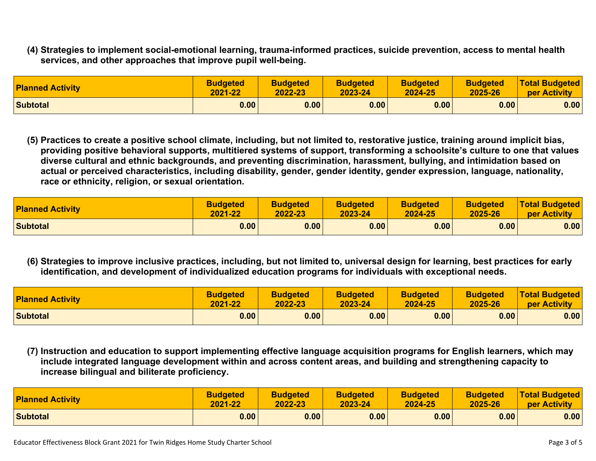**(4) Strategies to implement social-emotional learning, trauma-informed practices, suicide prevention, access to mental health services, and other approaches that improve pupil well-being.**

| <b>Planned Activity</b> | <b>Budgeted</b> | <b>Budgeted</b> | <b>Budgeted</b> | <b>Budgeted</b> | <b>Budgeted</b> | Total Budgeted |
|-------------------------|-----------------|-----------------|-----------------|-----------------|-----------------|----------------|
|                         | 2021-22         | $2022 - 23$     | 2023-24         | 2024-25         | 2025-26         | per Activity   |
| Subtotal                | 0.00            | 0.00            | 0.00            | 0.00            | 0.00            | 0.00           |

(5) Practices to create a positive school climate, including, but not limited to, restorative justice, training around implicit bias, providing positive behavioral supports, multitiered systems of support, transforming a schoolsite's culture to one that values **diverse cultural and ethnic backgrounds, and preventing discrimination, harassment, bullying, and intimidation based on actual or perceived characteristics, including disability, gender, gender identity, gender expression, language, nationality, race or ethnicity, religion, or sexual orientation.**

| <b>Planned Activity</b> | <b>Budgeted</b> | <b>Budgeted</b> | <b>Budgeted</b> | <b>Budgeted</b> | <b>Budgeted</b> | <b>Total Budgeted</b> |
|-------------------------|-----------------|-----------------|-----------------|-----------------|-----------------|-----------------------|
|                         | 2021-22         | 2022-23         | 2023-24         | 2024-25         | 2025-26         | per Activity          |
| <b>Subtotal</b>         | 0.00            | 0.00            | 0.00            | 0.00            | 0.00            | 0.00                  |

(6) Strategies to improve inclusive practices, including, but not limited to, universal design for learning, best practices for early **identification, and development of individualized education programs for individuals with exceptional needs.**

| <b>Planned Activity</b> | <b>Budgeted</b> | <b>Budgeted</b> | <b>Budgeted</b> | <b>Budgeted</b> | <b>Budgeted</b> | <b>Total Budgeted</b> |
|-------------------------|-----------------|-----------------|-----------------|-----------------|-----------------|-----------------------|
|                         | 2021-22         | 2022-23         | 2023-24         | 2024-25         | 2025-26         | per Activity          |
| <b>Subtotal</b>         | 0.00            | 0.00            | 0.00            | 0.00            | 0.00            | 0.00                  |

(7) Instruction and education to support implementing effective language acquisition programs for English learners, which may **include integrated language development within and across content areas, and building and strengthening capacity to increase bilingual and biliterate proficiency.**

| <b>Planned Activity</b> | <b>Budgeted</b> | <b>Budgeted</b> | <b>Budgeted</b> | <b>Budgeted</b> | <b>Budgeted</b> | <b>Total Budgeted</b> |
|-------------------------|-----------------|-----------------|-----------------|-----------------|-----------------|-----------------------|
|                         | 2021-22         | 2022-23         | 2023-24         | 2024-25         | 2025-26         | per Activity          |
| Subtotal                | 0.00            | 0.00            | 0.00            | 0.00            | 0.00            | 0.00                  |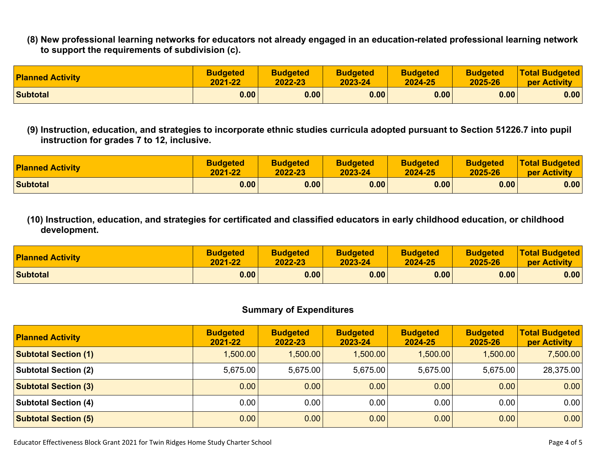(8) New professional learning networks for educators not already engaged in an education-related professional learning network **to support the requirements of subdivision (c).**

| <b>Planned Activity</b> | <b>Budgeted</b> | <b>Budgeted</b> | <b>Budgeted</b> | <b>Budgeted</b> | <b>Budgeted</b> | <b>Total Budgeted</b> |
|-------------------------|-----------------|-----------------|-----------------|-----------------|-----------------|-----------------------|
|                         | 2021-22         | 2022-23         | 2023-24         | 2024-25         | 2025-26         | per Activity          |
| <b>Subtotal</b>         | 0.00            | $0.00\, $       | 0.00            | 0.00            | 0.00            | 0.00                  |

(9) Instruction, education, and strategies to incorporate ethnic studies curricula adopted pursuant to Section 51226.7 into pupil **instruction for grades 7 to 12, inclusive.**

| <b>Planned Activity</b> | <b>Budgeted</b> | <b>Budgeted</b> | <b>Budgeted</b> | <b>Budgeted</b> | <b>Budgeted</b> | <b>Total Budgeted</b> |
|-------------------------|-----------------|-----------------|-----------------|-----------------|-----------------|-----------------------|
|                         | 2021-22         | 2022-23         | 2023-24         | 2024-25         | 2025-26         | per Activity          |
| <b>Subtotal</b>         | 0.00            | 0.00            | 0.00            | 0.00            | 0.00            | 0.00                  |

(10) Instruction, education, and strategies for certificated and classified educators in early childhood education, or childhood **development.**

| <b>Planned Activity</b> | <b>Budgeted</b> | <b>Budgeted</b> | <b>Budgeted</b> | <b>Budgeted</b> | <b>Budgeted</b> | <b>Total Budgeted</b> |
|-------------------------|-----------------|-----------------|-----------------|-----------------|-----------------|-----------------------|
|                         | 2021-22         | 2022-23         | 2023-24         | 2024-25         | 2025-26         | per Activity          |
| <b>Subtotal</b>         | 0.00            | 0.00            | 0.00            | 0.00            | 0.00            | 0.00                  |

## **Summary of Expenditures**

| <b>Planned Activity</b>     | <b>Budgeted</b><br>2021-22 | <b>Budgeted</b><br>2022-23 | <b>Budgeted</b><br>2023-24 | <b>Budgeted</b><br>2024-25 | <b>Budgeted</b><br>2025-26 | <b>Total Budgeted</b><br>per Activity |
|-----------------------------|----------------------------|----------------------------|----------------------------|----------------------------|----------------------------|---------------------------------------|
| <b>Subtotal Section (1)</b> | 1,500.00                   | ,500.00                    | $1,500.00$ $\vert$         | 1,500.00                   | 1,500.00                   | 7,500.00                              |
| <b>Subtotal Section (2)</b> | 5,675.00                   | 5,675.00                   | 5,675.00                   | 5,675.00                   | 5,675.00                   | 28,375.00                             |
| <b>Subtotal Section (3)</b> | 0.00                       | 0.00                       | 0.00                       | 0.00                       | 0.00                       | 0.00                                  |
| <b>Subtotal Section (4)</b> | 0.00                       | 0.00                       | 0.00                       | 0.00                       | 0.00                       | 0.00                                  |
| <b>Subtotal Section (5)</b> | 0.00                       | 0.00                       | 0.00                       | 0.00                       | 0.00                       | 0.00                                  |